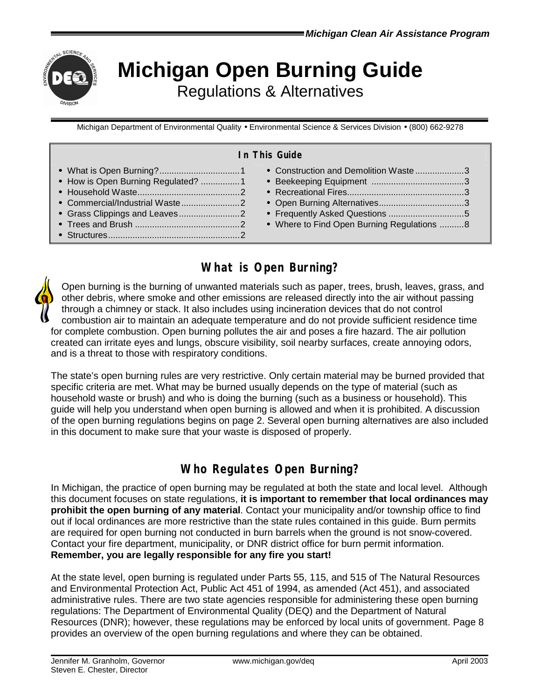

# **Michigan Open Burning Guide** Regulations & Alternatives

Michigan Department of Environmental Quality • Environmental Science & Services Division • (800) 662-9278

#### **In This Guide**

| • How is Open Burning Regulated? 1 | • Construction and Demolition Waste3<br>• Where to Find Open Burning Regulations 8 |
|------------------------------------|------------------------------------------------------------------------------------|
|------------------------------------|------------------------------------------------------------------------------------|

# **What is Open Burning?**

Open burning is the burning of unwanted materials such as paper, trees, brush, leaves, grass, and other debris, where smoke and other emissions are released directly into the air without passing through a chimney or stack. It also includes using incineration devices that do not control combustion air to maintain an adequate temperature and do not provide sufficient residence time for complete combustion. Open burning pollutes the air and poses a fire hazard. The air pollution created can irritate eyes and lungs, obscure visibility, soil nearby surfaces, create annoying odors, and is a threat to those with respiratory conditions.

The state's open burning rules are very restrictive. Only certain material may be burned provided that specific criteria are met. What may be burned usually depends on the type of material (such as household waste or brush) and who is doing the burning (such as a business or household). This guide will help you understand when open burning is allowed and when it is prohibited. A discussion of the open burning regulations begins on page 2. Several open burning alternatives are also included in this document to make sure that your waste is disposed of properly.

# **Who Regulates Open Burning?**

In Michigan, the practice of open burning may be regulated at both the state and local level. Although this document focuses on state regulations, **it is important to remember that local ordinances may prohibit the open burning of any material**. Contact your municipality and/or township office to find out if local ordinances are more restrictive than the state rules contained in this guide. Burn permits are required for open burning not conducted in burn barrels when the ground is not snow-covered. Contact your fire department, municipality, or DNR district office for burn permit information. **Remember, you are legally responsible for any fire you start!**

At the state level, open burning is regulated under Parts 55, 115, and 515 of The Natural Resources and Environmental Protection Act, Public Act 451 of 1994, as amended (Act 451), and associated administrative rules. There are two state agencies responsible for administering these open burning regulations: The Department of Environmental Quality (DEQ) and the Department of Natural Resources (DNR); however, these regulations may be enforced by local units of government. Page 8 provides an overview of the open burning regulations and where they can be obtained.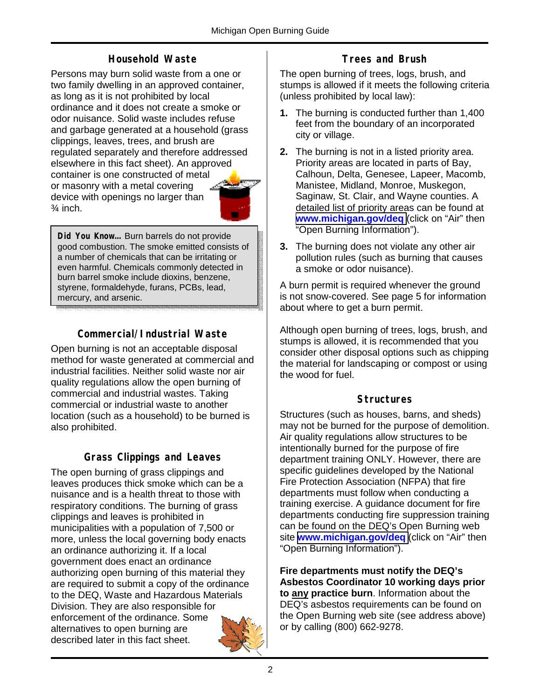## **Household Waste**

Persons may burn solid waste from a one or two family dwelling in an approved container, as long as it is not prohibited by local ordinance and it does not create a smoke or odor nuisance. Solid waste includes refuse and garbage generated at a household (grass clippings, leaves, trees, and brush are regulated separately and therefore addressed elsewhere in this fact sheet). An approved container is one constructed of metal or masonry with a metal covering device with openings no larger than  $\frac{3}{4}$  inch.

**Did You Know…** Burn barrels do not provide good combustion. The smoke emitted consists of a number of chemicals that can be irritating or even harmful. Chemicals commonly detected in burn barrel smoke include dioxins, benzene, styrene, formaldehyde, furans, PCBs, lead, mercury, and arsenic.

## **Commercial/Industrial Waste**

Open burning is not an acceptable disposal method for waste generated at commercial and industrial facilities. Neither solid waste nor air quality regulations allow the open burning of commercial and industrial wastes. Taking commercial or industrial waste to another location (such as a household) to be burned is also prohibited.

### **Grass Clippings and Leaves**

The open burning of grass clippings and leaves produces thick smoke which can be a nuisance and is a health threat to those with respiratory conditions. The burning of grass clippings and leaves is prohibited in municipalities with a population of 7,500 or more, unless the local governing body enacts an ordinance authorizing it. If a local government does enact an ordinance authorizing open burning of this material they are required to submit a copy of the ordinance to the DEQ, Waste and Hazardous Materials Division. They are also responsible for enforcement of the ordinance. Some alternatives to open burning are described later in this fact sheet.



The open burning of trees, logs, brush, and stumps is allowed if it meets the following criteria (unless prohibited by local law):

- **1.** The burning is conducted further than 1,400 feet from the boundary of an incorporated city or village.
- **2.** The burning is not in a listed priority area. Priority areas are located in parts of Bay, Calhoun, Delta, Genesee, Lapeer, Macomb, Manistee, Midland, Monroe, Muskegon, Saginaw, St. Clair, and Wayne counties. A detailed list of priority areas can be found at **[www.michigan.gov/deq](http://www.michigan.gov/deq)** (click on "Air" then "Open Burning Information").
- **3.** The burning does not violate any other air pollution rules (such as burning that causes a smoke or odor nuisance).

A burn permit is required whenever the ground is not snow-covered. See page 5 for information about where to get a burn permit.

Although open burning of trees, logs, brush, and stumps is allowed, it is recommended that you consider other disposal options such as chipping the material for landscaping or compost or using the wood for fuel.

#### **Structures**

Structures (such as houses, barns, and sheds) may not be burned for the purpose of demolition. Air quality regulations allow structures to be intentionally burned for the purpose of fire department training ONLY. However, there are specific guidelines developed by the National Fire Protection Association (NFPA) that fire departments must follow when conducting a training exercise. A guidance document for fire departments conducting fire suppression training can be found on the DEQ's Open Burning web site **[www.michigan.gov/deq](http://www.michigan.gov/deq)** (click on "Air" then "Open Burning Information").

**Fire departments must notify the DEQ's Asbestos Coordinator 10 working days prior to any practice burn**. Information about the DEQ's asbestos requirements can be found on the Open Burning web site (see address above) or by calling (800) 662-9278.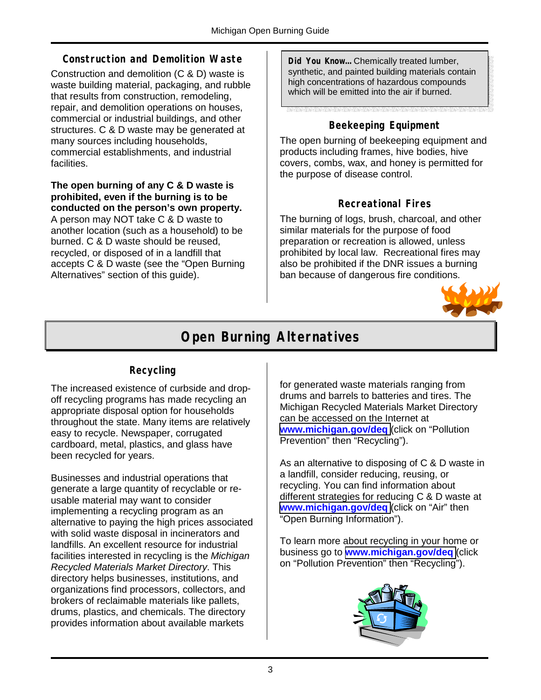#### **Construction and Demolition Waste**

Construction and demolition (C & D) waste is waste building material, packaging, and rubble that results from construction, remodeling, repair, and demolition operations on houses, commercial or industrial buildings, and other structures. C & D waste may be generated at many sources including households, commercial establishments, and industrial facilities.

#### **The open burning of any C & D waste is prohibited, even if the burning is to be conducted on the person's own property.**

A person may NOT take C & D waste to another location (such as a household) to be burned. C & D waste should be reused, recycled, or disposed of in a landfill that accepts C & D waste (see the "Open Burning Alternatives" section of this guide).

**Did You Know…** Chemically treated lumber, synthetic, and painted building materials contain high concentrations of hazardous compounds which will be emitted into the air if burned.

### **Beekeeping Equipment**

The open burning of beekeeping equipment and products including frames, hive bodies, hive covers, combs, wax, and honey is permitted for the purpose of disease control.

#### **Recreational Fires**

The burning of logs, brush, charcoal, and other similar materials for the purpose of food preparation or recreation is allowed, unless prohibited by local law. Recreational fires may also be prohibited if the DNR issues a burning ban because of dangerous fire conditions.



# **Open Burning Alternatives**

# **Recycling**

The increased existence of curbside and dropoff recycling programs has made recycling an appropriate disposal option for households throughout the state. Many items are relatively easy to recycle. Newspaper, corrugated cardboard, metal, plastics, and glass have been recycled for years.

Businesses and industrial operations that generate a large quantity of recyclable or reusable material may want to consider implementing a recycling program as an alternative to paying the high prices associated with solid waste disposal in incinerators and landfills. An excellent resource for industrial facilities interested in recycling is the *Michigan Recycled Materials Market Directory*. This directory helps businesses, institutions, and organizations find processors, collectors, and brokers of reclaimable materials like pallets, drums, plastics, and chemicals. The directory provides information about available markets

for generated waste materials ranging from drums and barrels to batteries and tires. The Michigan Recycled Materials Market Directory can be accessed on the Internet at **[www.michigan.gov/deq](http://www.michigan.gov/deq)** (click on "Pollution Prevention" then "Recycling").

As an alternative to disposing of C & D waste in a landfill, consider reducing, reusing, or recycling. You can find information about different strategies for reducing C & D waste at **[www.michigan.gov/deq](http://www.michigan.gov/deq)** (click on "Air" then "Open Burning Information").

To learn more about recycling in your home or business go to **[www.michigan.gov/deq](http://www.michigan.gov/deq)** (click on "Pollution Prevention" then "Recycling").

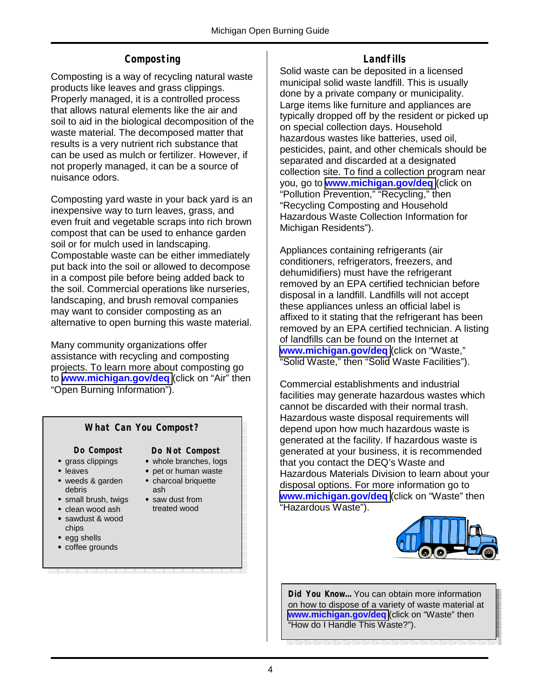### **Composting**

Composting is a way of recycling natural waste products like leaves and grass clippings. Properly managed, it is a controlled process that allows natural elements like the air and soil to aid in the biological decomposition of the waste material. The decomposed matter that results is a very nutrient rich substance that can be used as mulch or fertilizer. However, if not properly managed, it can be a source of nuisance odors.

Composting yard waste in your back yard is an inexpensive way to turn leaves, grass, and even fruit and vegetable scraps into rich brown compost that can be used to enhance garden soil or for mulch used in landscaping. Compostable waste can be either immediately put back into the soil or allowed to decompose in a compost pile before being added back to the soil. Commercial operations like nurseries, landscaping, and brush removal companies may want to consider composting as an alternative to open burning this waste material.

Many community organizations offer assistance with recycling and composting projects. To learn more about composting go to **[www.michigan.gov/deq](http://www.michigan.gov/deq)** (click on "Air" then "Open Burning Information").

### **What Can You Compost?**

**Do Compost** 

**Do Not Compost**  • whole branches, logs

• pet or human waste • charcoal briquette

- grass clippings
- leaves
- weeds & garden debris
- small brush, twigs ash • saw dust from
	- treated wood
- sawdust & wood chips

• clean wood ash

- egg shells
- coffee grounds

# **Landfills**

Solid waste can be deposited in a licensed municipal solid waste landfill. This is usually done by a private company or municipality. Large items like furniture and appliances are typically dropped off by the resident or picked up on special collection days. Household hazardous wastes like batteries, used oil, pesticides, paint, and other chemicals should be separated and discarded at a designated collection site. To find a collection program near you, go to **[www.michigan.gov/deq](http://www.michigan.gov/deq)** (click on "Pollution Prevention," "Recycling," then "Recycling Composting and Household Hazardous Waste Collection Information for Michigan Residents").

Appliances containing refrigerants (air conditioners, refrigerators, freezers, and dehumidifiers) must have the refrigerant removed by an EPA certified technician before disposal in a landfill. Landfills will not accept these appliances unless an official label is affixed to it stating that the refrigerant has been removed by an EPA certified technician. A listing of landfills can be found on the Internet at **[www.michigan.gov/deq](http://www.michigan.gov/deq)** (click on "Waste," "Solid Waste," then "Solid Waste Facilities").

Commercial establishments and industrial facilities may generate hazardous wastes which cannot be discarded with their normal trash. Hazardous waste disposal requirements will depend upon how much hazardous waste is generated at the facility. If hazardous waste is generated at your business, it is recommended that you contact the DEQ's Waste and Hazardous Materials Division to learn about your disposal options. For more information go to **[www.michigan.gov/deq](http://www.michigan.gov/deq)** (click on "Waste" then "Hazardous Waste").



**Did You Know…** You can obtain more information on how to dispose of a variety of waste material at **[www.michigan.gov/deq](http://www.michigan.gov/deq)** (click on "Waste" then "How do I Handle This Waste?").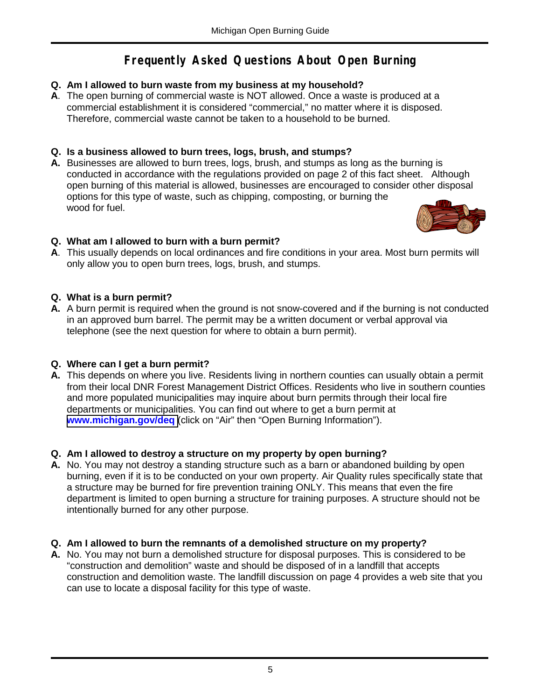# **Frequently Asked Questions About Open Burning**

#### **Q. Am I allowed to burn waste from my business at my household?**

**A**. The open burning of commercial waste is NOT allowed. Once a waste is produced at a commercial establishment it is considered "commercial," no matter where it is disposed. Therefore, commercial waste cannot be taken to a household to be burned.

#### **Q. Is a business allowed to burn trees, logs, brush, and stumps?**

**A.** Businesses are allowed to burn trees, logs, brush, and stumps as long as the burning is conducted in accordance with the regulations provided on page 2 of this fact sheet. Although open burning of this material is allowed, businesses are encouraged to consider other disposal options for this type of waste, such as chipping, composting, or burning the wood for fuel.



#### **Q. What am I allowed to burn with a burn permit?**

**A**. This usually depends on local ordinances and fire conditions in your area. Most burn permits will only allow you to open burn trees, logs, brush, and stumps.

#### **Q. What is a burn permit?**

**A.** A burn permit is required when the ground is not snow-covered and if the burning is not conducted in an approved burn barrel. The permit may be a written document or verbal approval via telephone (see the next question for where to obtain a burn permit).

#### **Q. Where can I get a burn permit?**

**A.** This depends on where you live. Residents living in northern counties can usually obtain a permit from their local DNR Forest Management District Offices. Residents who live in southern counties and more populated municipalities may inquire about burn permits through their local fire departments or municipalities. You can find out where to get a burn permit at **[www.michigan.gov/deq](http://www.michigan.gov/deq)** (click on "Air" then "Open Burning Information").

#### **Q. Am I allowed to destroy a structure on my property by open burning?**

**A.** No. You may not destroy a standing structure such as a barn or abandoned building by open burning, even if it is to be conducted on your own property. Air Quality rules specifically state that a structure may be burned for fire prevention training ONLY. This means that even the fire department is limited to open burning a structure for training purposes. A structure should not be intentionally burned for any other purpose.

#### **Q. Am I allowed to burn the remnants of a demolished structure on my property?**

**A.** No. You may not burn a demolished structure for disposal purposes. This is considered to be "construction and demolition" waste and should be disposed of in a landfill that accepts construction and demolition waste. The landfill discussion on page 4 provides a web site that you can use to locate a disposal facility for this type of waste.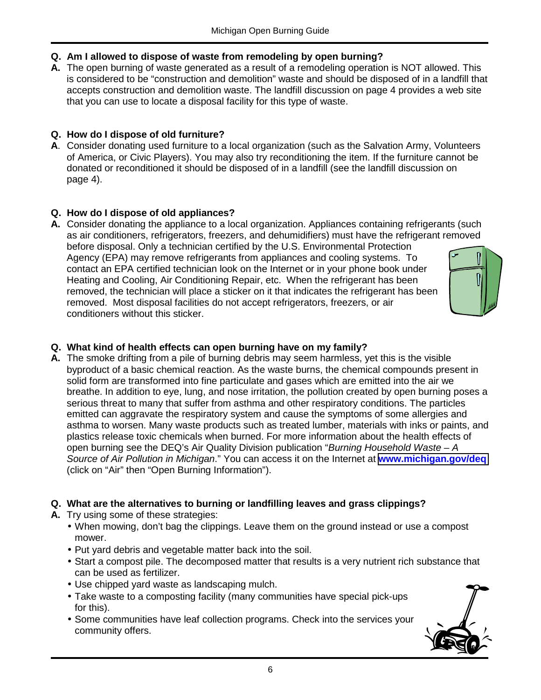- **Q. Am I allowed to dispose of waste from remodeling by open burning?**
- **A.** The open burning of waste generated as a result of a remodeling operation is NOT allowed. This is considered to be "construction and demolition" waste and should be disposed of in a landfill that accepts construction and demolition waste. The landfill discussion on page 4 provides a web site that you can use to locate a disposal facility for this type of waste.

#### **Q. How do I dispose of old furniture?**

**A**. Consider donating used furniture to a local organization (such as the Salvation Army, Volunteers of America, or Civic Players). You may also try reconditioning the item. If the furniture cannot be donated or reconditioned it should be disposed of in a landfill (see the landfill discussion on page 4).

#### **Q. How do I dispose of old appliances?**

**A.** Consider donating the appliance to a local organization. Appliances containing refrigerants (such as air conditioners, refrigerators, freezers, and dehumidifiers) must have the refrigerant removed before disposal. Only a technician certified by the U.S. Environmental Protection Agency (EPA) may remove refrigerants from appliances and cooling systems. To contact an EPA certified technician look on the Internet or in your phone book under Heating and Cooling, Air Conditioning Repair, etc. When the refrigerant has been removed, the technician will place a sticker on it that indicates the refrigerant has been removed. Most disposal facilities do not accept refrigerators, freezers, or air conditioners without this sticker.

#### **Q. What kind of health effects can open burning have on my family?**

**A.** The smoke drifting from a pile of burning debris may seem harmless, yet this is the visible byproduct of a basic chemical reaction. As the waste burns, the chemical compounds present in solid form are transformed into fine particulate and gases which are emitted into the air we breathe. In addition to eye, lung, and nose irritation, the pollution created by open burning poses a serious threat to many that suffer from asthma and other respiratory conditions. The particles emitted can aggravate the respiratory system and cause the symptoms of some allergies and asthma to worsen. Many waste products such as treated lumber, materials with inks or paints, and plastics release toxic chemicals when burned. For more information about the health effects of open burning see the DEQ's Air Quality Division publication "*Burning Household Waste – A Source of Air Pollution in Michigan*." You can access it on the Internet at **[www.michigan.gov/deq](http://www.michigan.gov/deq)** (click on "Air" then "Open Burning Information").

#### **Q. What are the alternatives to burning or landfilling leaves and grass clippings?**

- **A.** Try using some of these strategies:
	- When mowing, don't bag the clippings. Leave them on the ground instead or use a compost mower.
	- Put yard debris and vegetable matter back into the soil.
	- Start a compost pile. The decomposed matter that results is a very nutrient rich substance that can be used as fertilizer.
	- Use chipped yard waste as landscaping mulch.
	- Take waste to a composting facility (many communities have special pick-ups for this).
	- Some communities have leaf collection programs. Check into the services your community offers.

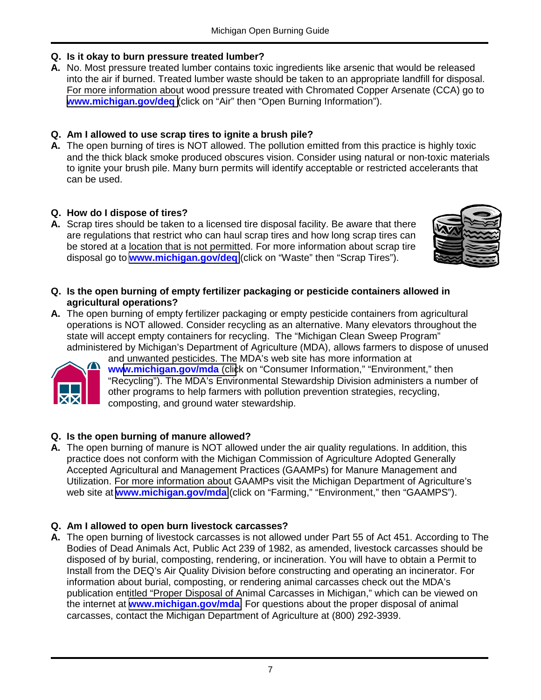#### **Q. Is it okay to burn pressure treated lumber?**

**A.** No. Most pressure treated lumber contains toxic ingredients like arsenic that would be released into the air if burned. Treated lumber waste should be taken to an appropriate landfill for disposal. For more information about wood pressure treated with Chromated Copper Arsenate (CCA) go to **[www.michigan.gov/deq](http://www.michigan.gov/deq)** (click on "Air" then "Open Burning Information").

#### **Q. Am I allowed to use scrap tires to ignite a brush pile?**

**A.** The open burning of tires is NOT allowed. The pollution emitted from this practice is highly toxic and the thick black smoke produced obscures vision. Consider using natural or non-toxic materials to ignite your brush pile. Many burn permits will identify acceptable or restricted accelerants that can be used.

#### **Q. How do I dispose of tires?**

**A.** Scrap tires should be taken to a licensed tire disposal facility. Be aware that there are regulations that restrict who can haul scrap tires and how long scrap tires can be stored at a location that is not permitted. For more information about scrap tire disposal go to **[www.michigan.gov/deq](http://www.michigan.gov/deq)** (click on "Waste" then "Scrap Tires").



- **Q. Is the open burning of empty fertilizer packaging or pesticide containers allowed in agricultural operations?**
- **A.** The open burning of empty fertilizer packaging or empty pesticide containers from agricultural operations is NOT allowed. Consider recycling as an alternative. Many elevators throughout the state will accept empty containers for recycling. The "Michigan Clean Sweep Program" administered by Michigan's Department of Agriculture (MDA), allows farmers to dispose of unused



and unwanted pesticides. The MDA's web site has more information at **ww[w.michigan.gov/mda](http://www.michigan.gov/mda)** (click on "Consumer Information," "Environment," then "Recycling"). The MDA's Environmental Stewardship Division administers a number of other programs to help farmers with pollution prevention strategies, recycling, composting, and ground water stewardship.

#### **Q. Is the open burning of manure allowed?**

**A.** The open burning of manure is NOT allowed under the air quality regulations. In addition, this practice does not conform with the Michigan Commission of Agriculture Adopted Generally Accepted Agricultural and Management Practices (GAAMPs) for Manure Management and Utilization. For more information about GAAMPs visit the Michigan Department of Agriculture's web site at **[www.michigan.gov/mda](http://www.michigan.gov/mda)** (click on "Farming," "Environment," then "GAAMPS").

#### **Q. Am I allowed to open burn livestock carcasses?**

**A.** The open burning of livestock carcasses is not allowed under Part 55 of Act 451. According to The Bodies of Dead Animals Act, Public Act 239 of 1982, as amended, livestock carcasses should be disposed of by burial, composting, rendering, or incineration. You will have to obtain a Permit to Install from the DEQ's Air Quality Division before constructing and operating an incinerator. For information about burial, composting, or rendering animal carcasses check out the MDA's publication entitled "Proper Disposal of Animal Carcasses in Michigan," which can be viewed on the internet at **[www.michigan.gov/mda](http://www.michigan.gov/mda)**. For questions about the proper disposal of animal carcasses, contact the Michigan Department of Agriculture at (800) 292-3939.